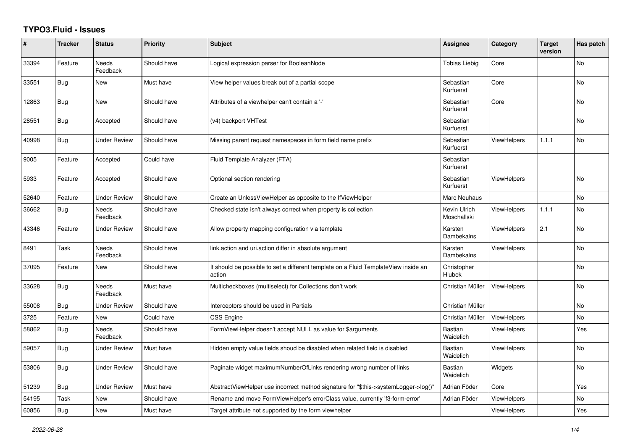## **TYPO3.Fluid - Issues**

| #     | <b>Tracker</b> | <b>Status</b>            | Priority    | <b>Subject</b>                                                                                | Assignee                    | Category           | <b>Target</b><br>version | Has patch |
|-------|----------------|--------------------------|-------------|-----------------------------------------------------------------------------------------------|-----------------------------|--------------------|--------------------------|-----------|
| 33394 | Feature        | Needs<br>Feedback        | Should have | Logical expression parser for BooleanNode                                                     | <b>Tobias Liebig</b>        | Core               |                          | No        |
| 33551 | Bug            | New                      | Must have   | View helper values break out of a partial scope                                               | Sebastian<br>Kurfuerst      | Core               |                          | <b>No</b> |
| 12863 | <b>Bug</b>     | <b>New</b>               | Should have | Attributes of a viewhelper can't contain a '-'                                                | Sebastian<br>Kurfuerst      | Core               |                          | <b>No</b> |
| 28551 | Bug            | Accepted                 | Should have | (v4) backport VHTest                                                                          | Sebastian<br>Kurfuerst      |                    |                          | No        |
| 40998 | <b>Bug</b>     | <b>Under Review</b>      | Should have | Missing parent request namespaces in form field name prefix                                   | Sebastian<br>Kurfuerst      | <b>ViewHelpers</b> | 1.1.1                    | No        |
| 9005  | Feature        | Accepted                 | Could have  | Fluid Template Analyzer (FTA)                                                                 | Sebastian<br>Kurfuerst      |                    |                          |           |
| 5933  | Feature        | Accepted                 | Should have | Optional section rendering                                                                    | Sebastian<br>Kurfuerst      | <b>ViewHelpers</b> |                          | <b>No</b> |
| 52640 | Feature        | <b>Under Review</b>      | Should have | Create an UnlessViewHelper as opposite to the IfViewHelper                                    | Marc Neuhaus                |                    |                          | No        |
| 36662 | Bug            | <b>Needs</b><br>Feedback | Should have | Checked state isn't always correct when property is collection                                | Kevin Ulrich<br>Moschallski | <b>ViewHelpers</b> | 1.1.1                    | <b>No</b> |
| 43346 | Feature        | Under Review             | Should have | Allow property mapping configuration via template                                             | Karsten<br>Dambekalns       | <b>ViewHelpers</b> | 2.1                      | No        |
| 8491  | Task           | Needs<br>Feedback        | Should have | link action and uri action differ in absolute argument                                        | Karsten<br>Dambekalns       | <b>ViewHelpers</b> |                          | No        |
| 37095 | Feature        | New                      | Should have | It should be possible to set a different template on a Fluid TemplateView inside an<br>action | Christopher<br>Hlubek       |                    |                          | <b>No</b> |
| 33628 | <b>Bug</b>     | Needs<br>Feedback        | Must have   | Multicheckboxes (multiselect) for Collections don't work                                      | Christian Müller            | <b>ViewHelpers</b> |                          | <b>No</b> |
| 55008 | Bug            | <b>Under Review</b>      | Should have | Interceptors should be used in Partials                                                       | Christian Müller            |                    |                          | No        |
| 3725  | Feature        | <b>New</b>               | Could have  | CSS Engine                                                                                    | Christian Müller            | <b>ViewHelpers</b> |                          | <b>No</b> |
| 58862 | <b>Bug</b>     | Needs<br>Feedback        | Should have | FormViewHelper doesn't accept NULL as value for \$arguments                                   | <b>Bastian</b><br>Waidelich | <b>ViewHelpers</b> |                          | Yes       |
| 59057 | <b>Bug</b>     | <b>Under Review</b>      | Must have   | Hidden empty value fields shoud be disabled when related field is disabled                    | <b>Bastian</b><br>Waidelich | <b>ViewHelpers</b> |                          | No        |
| 53806 | Bug            | <b>Under Review</b>      | Should have | Paginate widget maximumNumberOfLinks rendering wrong number of links                          | <b>Bastian</b><br>Waidelich | Widgets            |                          | <b>No</b> |
| 51239 | <b>Bug</b>     | <b>Under Review</b>      | Must have   | AbstractViewHelper use incorrect method signature for "\$this->systemLogger->log()"           | Adrian Föder                | Core               |                          | Yes       |
| 54195 | Task           | New                      | Should have | Rename and move FormViewHelper's errorClass value, currently 'f3-form-error'                  | Adrian Föder                | <b>ViewHelpers</b> |                          | No        |
| 60856 | <b>Bug</b>     | <b>New</b>               | Must have   | Target attribute not supported by the form viewhelper                                         |                             | <b>ViewHelpers</b> |                          | Yes       |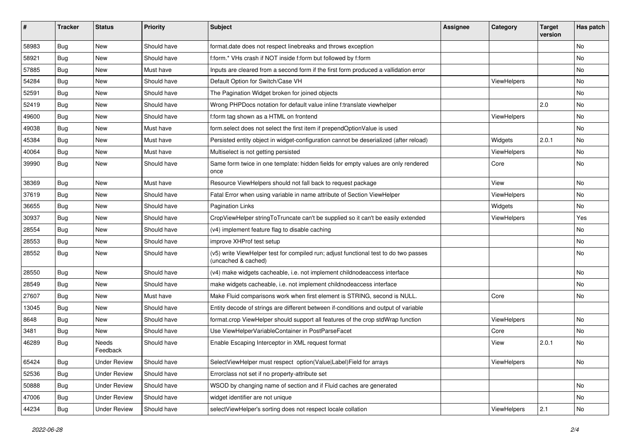| #     | <b>Tracker</b> | <b>Status</b>       | <b>Priority</b> | <b>Subject</b>                                                                                              | <b>Assignee</b> | Category    | <b>Target</b><br>version | Has patch |
|-------|----------------|---------------------|-----------------|-------------------------------------------------------------------------------------------------------------|-----------------|-------------|--------------------------|-----------|
| 58983 | Bug            | New                 | Should have     | format.date does not respect linebreaks and throws exception                                                |                 |             |                          | <b>No</b> |
| 58921 | Bug            | New                 | Should have     | f:form.* VHs crash if NOT inside f:form but followed by f:form                                              |                 |             |                          | No        |
| 57885 | Bug            | New                 | Must have       | Inputs are cleared from a second form if the first form produced a vallidation error                        |                 |             |                          | No        |
| 54284 | Bug            | New                 | Should have     | Default Option for Switch/Case VH                                                                           |                 | ViewHelpers |                          | No        |
| 52591 | Bug            | New                 | Should have     | The Pagination Widget broken for joined objects                                                             |                 |             |                          | No        |
| 52419 | Bug            | New                 | Should have     | Wrong PHPDocs notation for default value inline f:translate viewhelper                                      |                 |             | 2.0                      | No        |
| 49600 | Bug            | New                 | Should have     | f:form tag shown as a HTML on frontend                                                                      |                 | ViewHelpers |                          | No        |
| 49038 | <b>Bug</b>     | New                 | Must have       | form.select does not select the first item if prependOptionValue is used                                    |                 |             |                          | No        |
| 45384 | Bug            | New                 | Must have       | Persisted entity object in widget-configuration cannot be deserialized (after reload)                       |                 | Widgets     | 2.0.1                    | <b>No</b> |
| 40064 | Bug            | New                 | Must have       | Multiselect is not getting persisted                                                                        |                 | ViewHelpers |                          | No        |
| 39990 | Bug            | New                 | Should have     | Same form twice in one template: hidden fields for empty values are only rendered<br>once                   |                 | Core        |                          | <b>No</b> |
| 38369 | Bug            | New                 | Must have       | Resource ViewHelpers should not fall back to request package                                                |                 | View        |                          | No        |
| 37619 | Bug            | New                 | Should have     | Fatal Error when using variable in name attribute of Section ViewHelper                                     |                 | ViewHelpers |                          | <b>No</b> |
| 36655 | Bug            | New                 | Should have     | Pagination Links                                                                                            |                 | Widgets     |                          | No        |
| 30937 | <b>Bug</b>     | New                 | Should have     | CropViewHelper stringToTruncate can't be supplied so it can't be easily extended                            |                 | ViewHelpers |                          | Yes       |
| 28554 | <b>Bug</b>     | New                 | Should have     | (v4) implement feature flag to disable caching                                                              |                 |             |                          | No        |
| 28553 | <b>Bug</b>     | New                 | Should have     | improve XHProf test setup                                                                                   |                 |             |                          | No        |
| 28552 | Bug            | New                 | Should have     | (v5) write ViewHelper test for compiled run; adjust functional test to do two passes<br>(uncached & cached) |                 |             |                          | No        |
| 28550 | Bug            | New                 | Should have     | (v4) make widgets cacheable, i.e. not implement childnodeaccess interface                                   |                 |             |                          | No        |
| 28549 | <b>Bug</b>     | New                 | Should have     | make widgets cacheable, i.e. not implement childnodeaccess interface                                        |                 |             |                          | No        |
| 27607 | Bug            | New                 | Must have       | Make Fluid comparisons work when first element is STRING, second is NULL.                                   |                 | Core        |                          | No        |
| 13045 | <b>Bug</b>     | New                 | Should have     | Entity decode of strings are different between if-conditions and output of variable                         |                 |             |                          |           |
| 8648  | Bug            | New                 | Should have     | format.crop ViewHelper should support all features of the crop stdWrap function                             |                 | ViewHelpers |                          | No        |
| 3481  | Bug            | New                 | Should have     | Use ViewHelperVariableContainer in PostParseFacet                                                           |                 | Core        |                          | No        |
| 46289 | <b>Bug</b>     | Needs<br>Feedback   | Should have     | Enable Escaping Interceptor in XML request format                                                           |                 | View        | 2.0.1                    | No        |
| 65424 | Bug            | <b>Under Review</b> | Should have     | SelectViewHelper must respect option(Value Label)Field for arrays                                           |                 | ViewHelpers |                          | No        |
| 52536 | Bug            | <b>Under Review</b> | Should have     | Errorclass not set if no property-attribute set                                                             |                 |             |                          |           |
| 50888 | <b>Bug</b>     | <b>Under Review</b> | Should have     | WSOD by changing name of section and if Fluid caches are generated                                          |                 |             |                          | No        |
| 47006 | Bug            | <b>Under Review</b> | Should have     | widget identifier are not unique                                                                            |                 |             |                          | No        |
| 44234 | <b>Bug</b>     | <b>Under Review</b> | Should have     | selectViewHelper's sorting does not respect locale collation                                                |                 | ViewHelpers | 2.1                      | No        |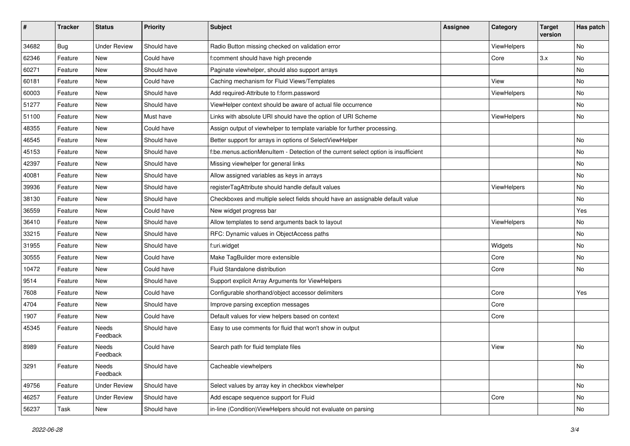| #     | <b>Tracker</b> | <b>Status</b>       | <b>Priority</b> | <b>Subject</b>                                                                     | <b>Assignee</b> | Category    | <b>Target</b><br>version | Has patch |
|-------|----------------|---------------------|-----------------|------------------------------------------------------------------------------------|-----------------|-------------|--------------------------|-----------|
| 34682 | Bug            | <b>Under Review</b> | Should have     | Radio Button missing checked on validation error                                   |                 | ViewHelpers |                          | <b>No</b> |
| 62346 | Feature        | <b>New</b>          | Could have      | f:comment should have high precende                                                |                 | Core        | 3.x                      | No        |
| 60271 | Feature        | New                 | Should have     | Paginate viewhelper, should also support arrays                                    |                 |             |                          | No        |
| 60181 | Feature        | New                 | Could have      | Caching mechanism for Fluid Views/Templates                                        |                 | View        |                          | No        |
| 60003 | Feature        | New                 | Should have     | Add required-Attribute to f:form.password                                          |                 | ViewHelpers |                          | No        |
| 51277 | Feature        | New                 | Should have     | ViewHelper context should be aware of actual file occurrence                       |                 |             |                          | No        |
| 51100 | Feature        | New                 | Must have       | Links with absolute URI should have the option of URI Scheme                       |                 | ViewHelpers |                          | No        |
| 48355 | Feature        | New                 | Could have      | Assign output of viewhelper to template variable for further processing.           |                 |             |                          |           |
| 46545 | Feature        | New                 | Should have     | Better support for arrays in options of SelectViewHelper                           |                 |             |                          | <b>No</b> |
| 45153 | Feature        | New                 | Should have     | f:be.menus.actionMenuItem - Detection of the current select option is insufficient |                 |             |                          | No        |
| 42397 | Feature        | New                 | Should have     | Missing viewhelper for general links                                               |                 |             |                          | <b>No</b> |
| 40081 | Feature        | New                 | Should have     | Allow assigned variables as keys in arrays                                         |                 |             |                          | No        |
| 39936 | Feature        | New                 | Should have     | registerTagAttribute should handle default values                                  |                 | ViewHelpers |                          | No        |
| 38130 | Feature        | New                 | Should have     | Checkboxes and multiple select fields should have an assignable default value      |                 |             |                          | No        |
| 36559 | Feature        | New                 | Could have      | New widget progress bar                                                            |                 |             |                          | Yes       |
| 36410 | Feature        | New                 | Should have     | Allow templates to send arguments back to layout                                   |                 | ViewHelpers |                          | No        |
| 33215 | Feature        | New                 | Should have     | RFC: Dynamic values in ObjectAccess paths                                          |                 |             |                          | No        |
| 31955 | Feature        | New                 | Should have     | f:uri.widget                                                                       |                 | Widgets     |                          | No        |
| 30555 | Feature        | New                 | Could have      | Make TagBuilder more extensible                                                    |                 | Core        |                          | No        |
| 10472 | Feature        | New                 | Could have      | Fluid Standalone distribution                                                      |                 | Core        |                          | No        |
| 9514  | Feature        | New                 | Should have     | Support explicit Array Arguments for ViewHelpers                                   |                 |             |                          |           |
| 7608  | Feature        | New                 | Could have      | Configurable shorthand/object accessor delimiters                                  |                 | Core        |                          | Yes       |
| 4704  | Feature        | New                 | Should have     | Improve parsing exception messages                                                 |                 | Core        |                          |           |
| 1907  | Feature        | New                 | Could have      | Default values for view helpers based on context                                   |                 | Core        |                          |           |
| 45345 | Feature        | Needs<br>Feedback   | Should have     | Easy to use comments for fluid that won't show in output                           |                 |             |                          |           |
| 8989  | Feature        | Needs<br>Feedback   | Could have      | Search path for fluid template files                                               |                 | View        |                          | <b>No</b> |
| 3291  | Feature        | Needs<br>Feedback   | Should have     | Cacheable viewhelpers                                                              |                 |             |                          | No        |
| 49756 | Feature        | <b>Under Review</b> | Should have     | Select values by array key in checkbox viewhelper                                  |                 |             |                          | No        |
| 46257 | Feature        | <b>Under Review</b> | Should have     | Add escape sequence support for Fluid                                              |                 | Core        |                          | No        |
| 56237 | Task           | New                 | Should have     | in-line (Condition)ViewHelpers should not evaluate on parsing                      |                 |             |                          | No        |